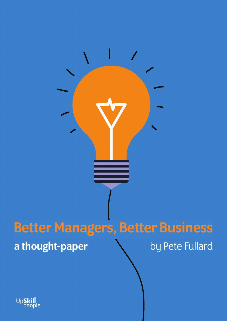

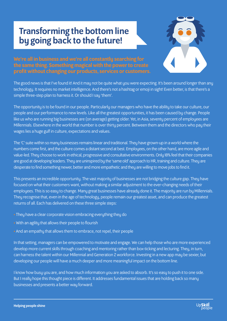# Transforming the bottom line by going back to the future!



We're all in business and we're all constantly searching for the same thing. Something magical with the power to create profit without changing our products, services or customers.

The good news is that I've found it! And it may not be quite what you were expecting. It's been around longer than any technology. It requires no market intelligence. And there's not a hashtag or emoji in sight! Even better, is that there's a simple three-step plan to harness it. Or should I say 'them'.

The opportunity is to be found in our people. Particularly our managers who have the ability to take our culture, our people and our performance to new levels. Like all the greatest opportunities, it has been caused by change. People like us who are running big businesses are (on average) getting older. Yet, in Asia, seventy percent of employees are Millennials. Elsewhere in the world that number is over thirty percent. Between them and the directors who pay their wages lies a huge gulf in culture, expectations and values.

The 'C' suite within so many businesses remains linear and traditional. They have grown-up in a world where the numbers come first, and the culture comes a distant second at best. Employees, on the other hand, are more agile and value-led. They choose to work in ethical, progressive and consultative environments. Only 18% feel that their companies are good at developing leaders. They are uninspired by the 'same old' approach to HR, training and culture. They are desperate to find something newer, better and more empathetic and they are willing to move jobs to find it.

This presents an incredible opportunity. The vast majority of businesses are not bridging the culture gap. They have focused on what their customers want, without making a similar adjustment to the ever-changing needs of their employees. This is so easy to change. Many great businesses have already done it. The majority are run by Millennials. They recognise that, even in the age of technology, people remain our greatest asset, and can produce the greatest returns of all. Each has delivered on these three simple steps:

- They have a clear corporate vision embracing everything they do
- With an agility that allows their people to flourish
- And an empathy that allows them to embrace, not repel, their people

In that setting, managers can be empowered to motivate and engage. We can help those who are more experienced develop more current skills through coaching and mentoring rather than box-ticking and lecturing. They, in turn, can harness the talent within our Millennial and Generation Z workforce. Investing in a new app may be sexier, but developing our people will have a much deeper and more meaningful impact on the bottom line.

I know how busy you are, and how much information you are asked to absorb. It's so easy to push it to one side. But I really hope this thought piece is different. It addresses fundamental issues that are holding back so many businesses and presents a better way forward.

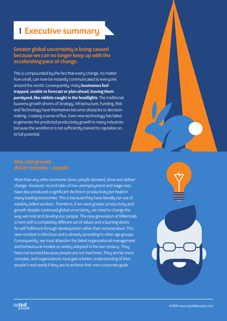# 1 Executive summary

### Greater global uncertainty is being caused because we can no longer keep up with the accelerating pace of change.

This is compounded by the fact that every change, no matter how small, can now be instantly communicated to everyone around the world. Consequently, many businesses feel trapped, unable to forecast or plan ahead, leaving them paralysed, like rabbits caught in the headlights. The traditional business growth drivers of Strategy, Infrastructure, Funding, Risk and Technology have themselves become obstacles to decisionmaking, creating a sense of flux. Even new technology has failed to generate the predicted productivity growth in many industries because the workforce is not sufficiently trained to capitalise on its full potential.



### One vital growth driver remains – people.

Up**Skill**<br>Deople

More than any other economic lever, people demand, drive and deliver change. However, record rates of low unemployment and wage rises have also produced a significant decline in productivity per head in many leading economies. This is because they have literally run out of suitably skilled workers. Therefore, if we want greater productivity and growth despite continued global uncertainty, we need to change the way we treat and develop our people. The new generation of Millennials is here with a completely different set of values and a burning desire for self-fulfilment through development rather than remuneration. This new mindset is infectious and is already spreading to other age groups. Consequently, we must abandon the failed organisational management and behavioural models so widely adopted in the last century. They have not worked because people are not machines. They are far more complex, and organisations must gain a better understanding of their people's real needs if they are to achieve their own corporate goals.

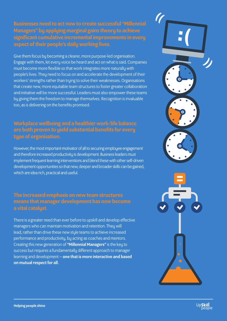### Businesses need to act now to create successful "Millennial Managers" by applying marginal gains theory to achieve significant cumulative incremental improvements in every aspect of their people's daily working lives.

Give them focus by becoming a clearer, more purpose-led organisation. Engage with them, let every voice be heard and act on what is said. Companies must become more flexible so that work integrates more naturally with people's lives. They need to focus on and accelerate the development of their workers' strengths rather than trying to solve their weaknesses. Organisations that create new, more equitable team structures to foster greater collaboration and initiative will be more successful. Leaders must also empower these teams by giving them the freedom to manage themselves. Recognition is invaluable too, as is delivering on the benefits promised.

### Workplace wellbeing and a healthier work/life balance are both proven to yield substantial benefits for every type of organisation.

However, the most important motivator of all to securing employee engagement and therefore increased productivity is development. Business leaders must implement frequent learning interventions and blend these with other self-driven development opportunities so that new, deeper and broader skills can be gained, which are idea rich, practical and useful.

### The increased emphasis on new team structures means that manager development has now become a vital catalyst.

There is a greater need than ever before to upskill and develop effective managers who can maintain motivation and retention. They will lead, rather than drive these new style teams to achieve increased performance and productivity, by acting as coaches and mentors. Creating this new generation of "Millennial Managers" is the key to success but requires a fundamentally different approach to manager learning and development – one that is more interactive and based on mutual respect for all.





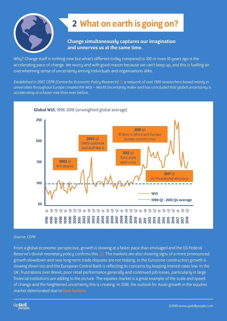

# 2 What on earth is going on?

### Change simultaneously captures our imagination and unnerves us at the same time.

Why? Change itself is nothing new but what's different today compared to 100 or even 10 years ago is the accelerating pace of change. We worry and with good reason because we can't keep up, and this is fuelling an overwhelming sense of uncertainty among individuals and organisations alike.

*Established in 2007, CEPR (Centre for Economic Policy Research)* (1) *a network of over 1300 researchers based mainly in universities throughout Europe created the WUI – World Uncertainty Index and has concluded that global uncertainty is accelerating at a faster rate than ever before.*



### *Source: CEPR*

From a global economic perspective, growth is slowing at a faster pace than envisaged and the US Federal Reserve's dovish monetary policy confirms this (2). The markets are also showing signs of a more pronounced growth slowdown and new long-term trade disputes are not helping. In the Eurozone construction growth is slowing down too and the European Central Bank is reflecting its concerns by keeping interest rates low. In the UK, frustrations over Brexit, poor retail performance generally and continued job losses, particularly in large financial institutions are adding to the picture. The equities market is a great example of the scale and speed of change and the heightened uncertainty this is creating. In 2018, the outlook for Asian growth in the equities market deteriorated due to **four factors:**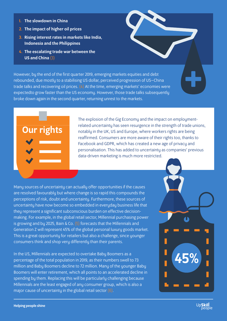- 1. The slowdown in China
- 2. The impact of higher oil prices
- 3. Rising interest rates in markets like India, Indonesia and the Philippines
- 4. The escalating trade war between the US and China (3)

However, by the end of the first quarter 2019, emerging markets equities and debt rebounded, due mostly to a stabilising US dollar, perceived progression of US–China trade talks and recovering oil prices.  $(4)$  At the time, emerging markets' economies were expectedto grow faster than the US economy. However, those trade talks subsequently broke down again in the second quarter, returning unrest to the markets.

# Our rights

The explosion of the Gig Economy and the impact on employmentrelated uncertainty has seen resurgence in the strength of trade unions, notably in the UK, US and Europe, where workers rights are being reaffirmed. Consumers are more aware of their rights too, thanks to Facebook and GDPR, which has created a new age of privacy and personalisation. This has added to uncertainty as companies' previous data-driven marketing is much more restricted.

Many sources of uncertainty can actually offer opportunities if the causes are resolved favourably but where change is so rapid this compounds the perceptions of risk, doubt and uncertainty. Furthermore, these sources of uncertainty have now become so embedded in everyday business life that they represent a significant subconscious burden on effective decisionmaking. For example, in the global retail sector, Millennial purchasing power is growing and by 2025, Bain & Co. (5) forecasts that the Millennials and Generation Z will represent 45% of the global personal luxury goods market. This is a great opportunity for retailers but also a challenge, since younger consumers think and shop very differently than their parents.

In the US, Millennials are expected to overtake Baby Boomers as a percentage of the total population in 2019, as their numbers swell to 73 million and Baby Boomers decline to 72 million. Many of the younger Baby Boomers will enter retirement, which all points to an accelerated decline in spending by them. Replacing this will be particularly challenging because Millennials are the least engaged of any consumer group, which is also a major cause of uncertainty in the global retail sector  $(6)$ .



**+**

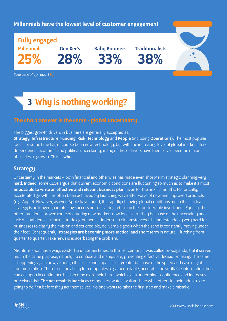### Millennials have the lowest level of customer engagement

Fully engaged Millennials 5%

Gen Xer's 28%

Baby Boomers 33%

**Traditionalists** 38%

*Source: Gallup report* (6)

# 3 Why is nothing working?

### The short answer is the same - global uncertainty.

The biggest growth drivers in business are generally accepted as:

Strategy, Infrastructure, Funding, Risk, Technology and People (including Operations). The most popular focus for some time has of course been new technology, but with the increasing level of global market interdependency, economic and political uncertainty, many of these drivers have themselves become major obstacles to growth. This is why…

### **Strategy**

Uncertainty in the markets – both financial and otherwise has made even short-term strategic planning very hard. Indeed, some CEOs argue that current economic conditions are fluctuating so much as to make it almost impossible to write an effective and relevant business plan, even for the next 12 months. Historically, accelerated growth has often been achieved by launching wave after wave of new and improved products (e.g. Apple). However, as even Apple have found, the rapidly changing global conditions mean that such a strategy is no longer guaranteeing success nor delivering return on the considerable investment. Equally, the other traditional proven route of entering new markets now looks very risky because of the uncertainty and lack of confidence in current trade agreements. Under such circumstances it is understandably very hard for businesses to clarify their vision and set credible, deliverable goals when the sand is constantly moving under their feet. Consequently, strategies are becoming more tactical and short term in nature – lurching from quarter to quarter. Fake news is exacerbating the problem.

Misinformation has always existed in uncertain times. In the last century it was called propaganda, but it served much the same purpose, namely, to confuse and manipulate, preventing effective decision-making. The same is happening again now, although the scale and impact is far greater because of the speed and ease of global communication. Therefore, the ability for companies to gather reliable, accurate and verifiable information they can act upon in confidence has become extremely hard, which again undermines confidence and increases perceived risk. The net result is inertia as companies, watch, wait and see what others in their industry are going to do first before they act themselves. No one wants to take the first step and make a mistake.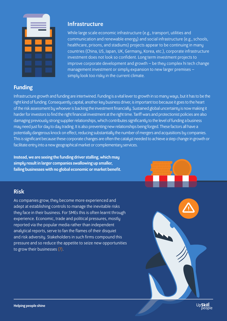

### Funding

### Infrastructure

While large scale economic infrastructure (e.g., transport, utilities and communication and renewable energy) and social infrastructure (e.g., schools, healthcare, prisons, and stadiums) projects appear to be continuing in many countries (China, US, Japan, UK, Germany, Korea, etc.), corporate infrastructure investment does not look so confident. Long term investment projects to improve corporate development and growth – be they complex hi tech change management investment or simply expansion to new larger premises – simply look too risky in the current climate.

Infrastructure growth and funding are intertwined. Funding is a vital lever to growth in so many ways, but it has to be the right kind of funding. Consequently capital, another key business driver, is important too because it goes to the heart of the risk assessment by whoever is backing the investment financially. Sustained global uncertainty is now making it harder for investors to find the right financial investment at the right time. Tariff wars and protectionist policies are also damaging previously strong supplier relationships, which contributes significantly to the level of funding a business may need just for day to day trading. It is also preventing new relationships being forged. These factors all have a potentially dangerous knock on effect, reducing substantially the number of mergers and acquisitions by companies. This is significant because these corporate changes are often the catalyst needed to achieve a step change in growth or facilitate entry into a new geographical market or complementary services.

Instead, we are seeing the funding driver stalling, which may simply result in larger companies swallowing up smaller, failing businesses with no global economic or market benefit.

### Risk

As companies grow, they become more experienced and adept at establishing controls to manage the inevitable risks they face in their business. For SMEs this is often learnt through experience. Economic, trade and political pressures, mostly reported via the popular media rather than independent analytical reports, serve to fan the flames of their disquiet and risk adversity. Stakeholders in such firms compound this pressure and so reduce the appetite to seize new opportunities to grow their businesses (7).



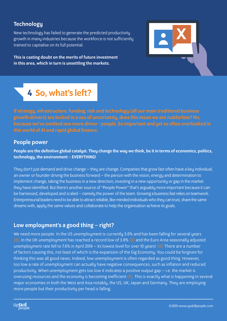### **Technology**

New technology has failed to generate the predicted productivity growth in many industries because the workforce is not sufficiently trained to capitalise on its full potential.

This is casting doubt on the merits of future investment in this area, which in turn is unsettling the markets.



# 4 So, what's left?

If strategy, infrastructure, funding, risk and technology (all our main traditional business growth drivers) are locked in a sea of uncertainty, does this mean we are rudderless? No, because we've omitted one more driver - people. So important and yet so often overlooked in this world of AI and rapid global finance.

### People power

People are the definitive global catalyst. They change the way we think, be it in terms of economics, politics, technology, the environment – EVERYTHING!

They don't just demand and drive change – they are change. Companies that grow fast often have a key individual, an owner or founder driving the business forward – the person with the vision, energy and determination to implement change, taking the business in a new direction, investing in a new opportunity or gap in the market they have identified. But there's another source of "People Power" that's arguably more important because it can be harnessed, developed and scaled – namely the power of the team. Growing a business fast relies on teamwork. Entrepreneurial leaders need to be able to attract reliable, like-minded individuals who they can trust, share the same dreams with, apply the same values and collaborate to help the organisation achieve its goals.

### Low employment's a good thing – right?

We need more people. In the US unemployment is currently 3.6% and has been falling for several years (8). In the UK unemployment has reached a record low of 3.8% (9) and the Euro Area seasonally adjusted unemployment rate fell to 7.6% in April 2019 – its lowest level for over 10 years! (10) There are a number of factors causing this, not least of which is the expansion of the Gig Economy. You could be forgiven for thinking this was all good news. Indeed, low unemployment is often regarded as good thing. However, too low a rate of unemployment can actually have negative consequences, such as inflation and reduced productivity. When unemployment gets too low it indicates a positive output gap – i.e. the market is overusing resources and the economy is becoming inefficient (11). This is exactly what is happening in several major economies in both the West and Asia notably, the US, UK, Japan and Germany. They are employing more people but their productivity per head is falling.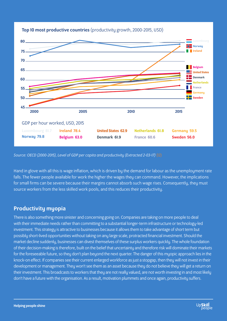

### Top 10 most productive countries (productivity growth, 2000-2015, USD)

*Source: OECD (2000-2015), Level of GDP per capita and productivity (Extracted 2-03-17)* (12)

Hand in glove with all this is wage inflation, which is driven by the demand for labour as the unemployment rate falls. The fewer people available for work the higher the wages they can command. However, the implications for small firms can be severe because their margins cannot absorb such wage rises. Consequently, they must source workers from the less skilled work pools, and this reduces their productivity.

### Productivity myopia

There is also something more sinister and concerning going on. Companies are taking on more people to deal with their immediate needs rather than committing to a substantial longer-term infrastructure or technology-led investment. This strategy is attractive to businesses because it allows them to take advantage of short term but possibly short-lived opportunities without taking on any large scale, protracted financial investment. Should the market decline suddenly, businesses can divest themselves of these surplus workers quickly. The whole foundation of their decision-making is therefore, built on the belief that uncertainty and therefore risk will dominate their markets for the foreseeable future, so they don't plan beyond the next quarter. The danger of this myopic approach lies in the knock-on effect. If companies see their current enlarged workforce as just a stopgap, then they will not invest in their development or management. They won't see them as an asset because they do not believe they will get a return on their investment. This broadcasts to workers that they are not really valued, are not worth investing in and most likely don't have a future with the organisation. As a result, motivation plummets and once again, productivity suffers.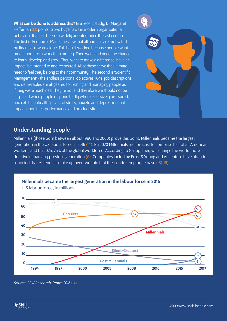What can be done to address this? In a recent study, Dr Margaret Heffernan (13) points to two huge flaws in modern organisational behaviour that has been so widely adopted since the last century. The first is 'Economic Man' - the view that all humans are motivated by financial reward alone. This hasn't worked because people want much more from work than money. They want and need the chance to learn, develop and grow. They want to make a difference, have an impact, be listened to and respected. All of these serve the ultimate need to feel they belong to their community. The second is 'Scientific Management' - the endless personal objectives, KPIs, job descriptions and deliverables are all geared to treating and managing people as if they were machines. They're not and therefore we should not be surprised when people respond badly when excessively pressured, and exhibit unhealthy levels of stress, anxiety and depression that impact upon their performance and productivity.



### Understanding people

Millennials (those born between about 1980 and 2000) prove this point. Millennials became the largest generation in the US labour force in 2016 (14). By 2020 Millennials are forecast to comprise half of all American workers, and by 2025, 75% of the global workforce. According to Gallup, they will change the world more decisively than any previous generation (6). Companies including Ernst & Young and Accenture have already reported that Millennials make up over two thirds of their entire employee base (15)(16).

Millennials became the largest generation in the labour force in 2016



U.S labour force, in millions

*Source: PEW Research Centre 2016* (14)

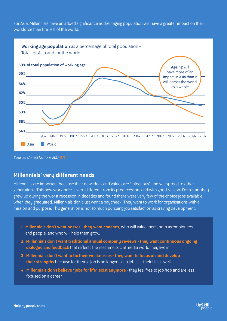For Asia, Millennials have an added significance as their aging population will have a greater impact on their workforce than the rest of the world.



*Source: United Nations 2017* (17)

### Millennials' very different needs

Millennials are important because their new ideas and values are "infectious" and will spread to other generations. This new workforce is very different from its predecessors and with good reason. For a start they grew up during the worst recession in decades and found there were very few of the choice jobs available when they graduated. Millennials don't just want a paycheck. They want to work for organisations with a mission and purpose. This generation is not so much pursuing job satisfaction as craving development.

- 1. Millennials don't want bosses they want coaches, who will value them, both as employees and people, and who will help them grow.
- 2. Millennials don't want traditional annual company reviews they want continuous ongoing dialogue and feedback that reflects the real time social media world they live in.
- 3. Millennials don't want to fix their weaknesses they want to focus on and develop their strengths because for them a job is no longer just a job, it is their life as well.
- 4. Millennials don't believe "jobs for life" exist anymore they feel free to job hop and are less focused on a career.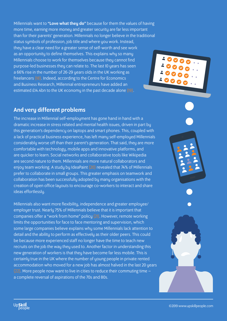Millennials want to "Love what they do" because for them the values of having more time, earning more money and greater security are far less important than for their parents' generation. Millennials no longer believe in the traditional status symbols of profession, job title and where you work. Instead, they have a clear need for a greater sense of self-worth and see work as an opportunity to define themselves. This explains why so many Millennials choose to work for themselves because they cannot find purpose-led businesses they can relate to. The last 10 years has seen a 66% rise in the number of 26-29 years olds in the UK working as freelancers (18). Indeed, according to the Centre for Economics and Business Research, Millennial entrepreneurs have added an estimated £14.4bn to the UK economy in the past decade alone (19).

### And very different problems

Up**Skill**<br>Deople

The increase in Millennial self-employment has gone hand in hand with a dramatic increase in stress related and mental health issues, driven in part by this generation's dependency on laptops and smart phones. This, coupled with a lack of practical business experience, has left many self-employed Millennials considerably worse off than their parent's generation. That said, they are more comfortable with technology, mobile apps and innovative platforms, and are quicker to learn. Social networks and collaborative tools like Wikipedia are second nature to them. Millennials are more natural collaborators and enjoy team working. A study by IdeaPaint (20) revealed that 74% of Millennials prefer to collaborate in small groups. This greater emphasis on teamwork and collaboration has been successfully adopted by many organisations with the creation of open office layouts to encourage co-workers to interact and share ideas effortlessly.

Millennials also want more flexibility, independence and greater employee/ employer trust. Nearly 75% of Millennials believe that it is important that companies offer a "work from home" policy (21). However, remote working limits the opportunities for face to face mentoring and supervision, which some large companies believe explains why some Millennials lack attention to detail and the ability to perform as effectively as their older peers. This could be because more experienced staff no longer have the time to teach new recruits on the job the way they used to. Another factor in understanding this new generation of workers is that they have become far less mobile. This is certainly true in the UK where the number of young people in private rented accommodation who moved for a new job has almost halved in the last 20 years (22). More people now want to live in cities to reduce their commuting time – a complete reversal of aspirations of the 70s and 80s.

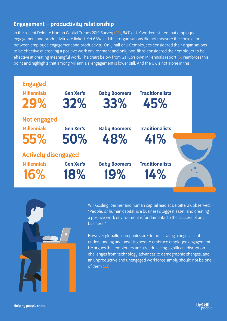### Engagement – productivity relationship

In the recent Deloitte Human Capital Trends 2019 Survey (23), 84% of UK workers stated that employee engagement and productivity are linked. Yet 68% said their organisations did not measure the correlation between employee engagement and productivity. Only half of UK employees considered their organisations to be effective at creating a positive work environment and only two-fifths considered their employer to be effective at creating meaningful work. The chart below from Gallup's own Millennials report (6) reinforces this point and highlights that among Millennials, engagement is lower still. And the UK is not alone in this.





Will Gosling, partner and human capital lead at Deloitte UK observed: "People, or human capital, is a business's biggest asset, and creating a positive work environment is fundamental to the success of any business."

However globally, companies are demonstrating a huge lack of understanding and unwillingness to embrace employee engagement. He argues that employers are already facing significant disruption challenges from technology advances to demographic changes, and an unproductive and unengaged workforce simply should not be one of them (23).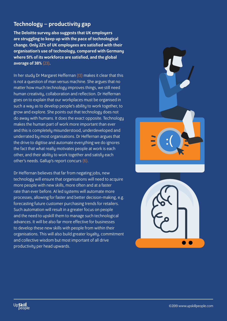### Technology – productivity gap

The Deloitte survey also suggests that UK employers are struggling to keep up with the pace of technological change. Only 22% of UK employees are satisfied with their organisation's use of technology, compared with Germany where 51% of its workforce are satisfied, and the global average of 38% (23).

In her study Dr Margaret Heffernan (13) makes it clear that this is not a question of man versus machine. She argues that no matter how much technology improves things, we still need human creativity, collaboration and reflection. Dr Heffernan goes on to explain that our workplaces must be organised in such a way as to develop people's ability to work together, to grow and explore. She points out that technology does not do away with humans. It does the exact opposite. Technology makes the human part of work more important than ever and this is completely misunderstood, underdeveloped and underrated by most organisations. Dr Heffernan argues that the drive to digitise and automate everything we do ignores the fact that what really motivates people at work is each other, and their ability to work together and satisfy each other's needs. Gallup's report concurs (6).

Dr Heffernan believes that far from negating jobs, new technology will ensure that organisations will need to acquire more people with new skills, more often and at a faster rate than ever before. AI led systems will automate more processes, allowing for faster and better decision-making, e.g. forecasting future customer purchasing trends for retailers. Such automation will result in a greater focus on people and the need to upskill them to manage such technological advances. It will be also far more effective for businesses to develop these new skills with people from within their organisations. This will also build greater loyalty, commitment and collective wisdom but most important of all drive productivity per head upwards.



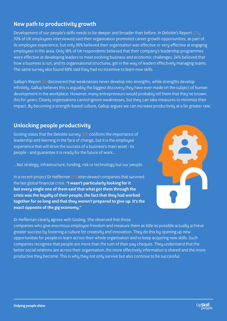### New path to productivity growth

Development of our people's skills needs to be deeper and broader than before. In Deloitte's Report (23), 70% of UK employees interviewed said their organisation promoted career growth opportunities, as part of its employee experience, but only 36% believed their organisation was effective or very effective at engaging employees in this area. Only 18% of UK respondents believed that their company's leadership programmes were effective at developing leaders to meet evolving business and economic challenges. 24% believed that how a business is run, and its organisational structures, get in the way of leaders effectively managing teams. The same survey also found 69% said they had no incentive to learn new skills.

Gallup's Report  $(6)$  discovered that weaknesses never develop into strengths, while strengths develop infinitely. Gallup believes this is arguably the biggest discovery they have ever made on the subject of human development in the workplace. However, many entrepreneurs would probably tell them that they've known this for years. Clearly organisations cannot ignore weaknesses, but they can take measures to minimise their impact. By becoming a strength-based culture, Gallup argues we can increase productivity at a far greater rate.

### Unlocking people productivity

Gosling states that the Deloitte survey (23) confirms the importance of leadership and learning in the face of change, but it is the employee experience that will drive the success of a business's main asset - its people - and guarantee it is ready for the future of work...

...Not strategy, infrastructure, funding, risk or technology but our people.

In a recent project Dr Heffernan (13) interviewed companies that survived the last global financial crisis. "I wasn't particularly looking for it but every single one of them said that what got them through the crisis was the loyalty of their people, the fact that they had worked together for so long and that they weren't prepared to give up. It's the exact opposite of the gig economy."



Dr Heffernan clearly agrees with Gosling. She observed that those

companies who give enormous employee freedom and measure them as little as possible actually achieve greater success bu fostering a culture for creativitu and innovation. Theu do this bu opening up new opportunities for people to learn across their whole organisation and to keep acquiring new skills. Such companies recognise that people are more than the sum of their pay cheques. They understand that the better social relations are across their organisation, the more effectively information is shared and the more productive they become. This is why they not only survive but also continue to be successful.

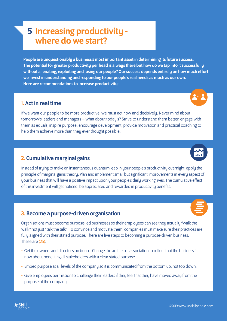# 5 Increasing productivity where do we start?

People are unquestionably a business's most important asset in determining its future success. The potential for greater productivity per head is always there but how do we tap into it successfully without alienating, exploiting and losing our people? Our success depends entirely on how much effort we invest in understanding and responding to our people's real needs as much as our own. Here are recommendations to increase productivity:

### 1. Act in real time

If we want our people to be more productive, we must act now and decisively. Never mind about tomorrow's leaders and managers – what about today's? Strive to understand them better, engage with them as equals, inspire purpose, encourage development, provide motivation and practical coaching to help them achieve more than they ever thought possible.

### 2. Cumulative marginal gains

Instead of trying to make an instantaneous quantum leap in your people's productivity overnight, apply the principle of marginal gains theory. Plan and implement small but significant improvements in every aspect of your business that will have a positive impact upon your people's daily working lives. The cumulative effect of this investment will get noticed, be appreciated and rewarded in productivity benefits.

### 3. Become a purpose-driven organisation

Organisations must become purpose-led businesses so their employees can see they actually "walk the walk" not just "talk the talk". To convince and motivate them, companies must make sure their practices are fully aligned with their stated purpose. There are five steps to becoming a purpose-driven business. These are (25):

- Get the owners and directors on board. Change the articles of association to reflect that the business is now about benefiting all stakeholders with a clear stated purpose.
- Embed purpose at all levels of the company so it is communicated from the bottom up, not top down.
- Give employees permission to challenge their leaders if they feel that they have moved away from the purpose of the company.





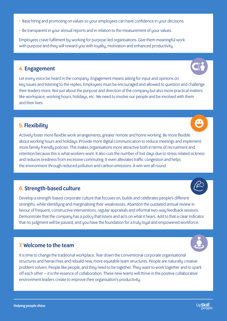### • Base hiring and promoting on values so your employees can have confidence in your decisions.

• Be transparent in your annual reports and in relation to the measurement of your values.

Employees crave fulfilment by working for purpose-led organisations. Give them meaningful work with purpose and they will reward you with loyalty, motivation and enhanced productivity.

### 4. Engagement

Let every voice be heard in the company. Engagement means asking for input and opinions on key issues and listening to the replies. Employees must be encouraged and allowed to question and challenge their leaders more. Not just about the purpose and direction of the company but also more practical matters like workspace, working hours, holidays, etc. We need to involve our people and be involved with them and their lives.

### 5. Flexibility

Actively foster more flexible work arrangements, greater remote and home working. Be more flexible about working hours and holidays. Provide more digital communication to reduce meetings and implement more family-friendly policies. This makes organisations more attractive both in terms of recruitment and retention because this is what workers want. It also cuts the number of lost days due to stress related sickness and reduces tiredness from excessive commuting. It even alleviates traffic congestion and helps the environment through reduced pollution and carbon emissions. A win-win all round.

### 6. Strength-based culture

Develop a strength-based corporate culture that focuses on, builds and celebrates people's different strengths, while identifying and marginalising their weaknesses. Abandon the outdated annual review in favour of frequent, constructive interventions, regular appraisals and informal two-way feedback sessions. Demonstrate that the company has a policy that listens and acts on what it hears. Add to that a clear indicator that no judgment will be passed, and you have the foundation for a truly loyal and empowered workforce.

### 7. Welcome to the team

It is time to change the traditional workplace. Tear down the conventional corporate organisational structures and hierarchies and rebuild new, more equitable team structures. People are naturally creative problem solvers. People like people, and they need to be together. They want to work together and to spark off each other – it is the essence of collaboration. These new teams will thrive in the positive collaborative environment leaders create to improve their organisation's productivity.







U



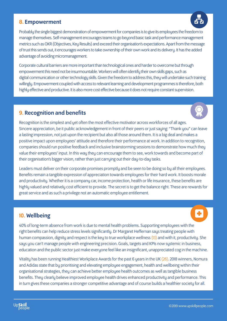### 8. Empowerment

Probably the single biggest demonstration of empowerment for companies is to give its employees the freedom to manage themselves. Self-management encourages teams to go beyond basic task and performance management metrics such as OKR (Objectives, Key Results) and exceed their organisation's expectations. Apart from the message of trust this sends out, it encourages workers to take ownership of their own work and its delivery. It has the added advantage of avoiding micromanagement.

Corporate cultural barriers are more important than technological ones and harder to overcome but through empowerment this need not be insurmountable. Workers will often identify their own skills gaps, such as digital communication or other technology skills. Given the freedom to address this, they will undertake such training willingly. Empowerment coupled with access to relevant learning and development programmes is therefore, both highly effective and productive. It is also more cost effective because it does not require constant supervision.

### 9. Recognition and benefits



Recognition is the simplest and yet often the most effective motivator across workforces of all ages. Sincere appreciation, be it public acknowledgement in front of their peers or just saying: "Thank you" can leave a lasting impression, not just upon the recipient but also all those around them. It is a big deal and makes a positive impact upon employees' attitude and therefore their performance at work. In addition to recognition, companies should run positive feedback and inclusive brainstorming sessions to demonstrate how much they value their employees' input. In this way they can encourage them to see, work towards and become part of their organisation's bigger vision, rather than just carrying out their day-to-day tasks.

Leaders must deliver on their corporate promises promptly and be seen to be doing so by all their employees. Benefits remain a tangible expression of appreciation towards employees for their hard work. It boosts morale and productivity. Whether it is a company car, income protection, health or life insurance, these benefits are highly valued and relatively cost efficient to provide. The secret is to get the balance right. These are rewards for great service and as such a privilege not an automatic employee entitlement.

### 10. Wellbeing

40% of long-term absence from work is due to mental health problems. Supporting employees with the right benefits can help reduce stress levels significantly. Dr Margaret Heffernan says treating people with human compassion, dignity and respect is the key to true workplace wellness (13) and with it, productivity. She says you can't manage people with engineering precision. Goals, targets and KPIs now systemic in business, education and the public sector just make everyone feel like an insignificant, unappreciated cog in the machine.

Vitality has been running Healthiest Workplace Awards for the past 6 years in the UK (26). 2018 winners, Nomura and Adidas state that by prioritising and elevating employee engagement, health and wellbeing within their organisational strategies, they can achieve better employee health outcomes as well as tangible business benefits. They clearly believe improved employee health drives enhanced productivity and performance. This in turn gives these companies a stronger competitive advantage and of course builds a healthier society for all.

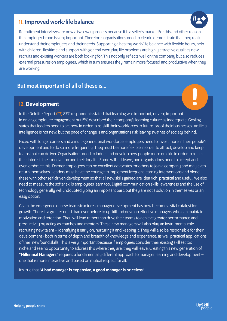### 11. Improved work/life balance

Recruitment interviews are now a two-way process because it is a seller's market. For this and other reasons, the employer brand is very important. Therefore, organisations need to clearly demonstrate that they really understand their employees and their needs. Supporting a healthy work/life balance with flexible hours, help with children, flexitime and support with general everyday life problems are highly attractive qualities new recruits and existing workers are both looking for. This not only reflects well on the company but also reduces external pressures on employees, which in turn ensures they remain more focused and productive when they are working.

### But most important of all of these is…

### 12. Development

In the Deloitte Report (23) 87% respondents stated that learning was important, or very important in driving employee engagement but 15% described their company's learning culture as inadequate. Gosling states that leaders need to act now in order to re-skill their workforces to future-proof their businesses. Artificial intelligence is not new, but the pace of change is and organisations risk leaving swathes of society behind.

Faced with longer careers and a multi-generational workforce, employers need to invest more in their people's development and to do so more frequently. They must be more flexible in order to attract, develop and keep teams that can deliver. Organisations need to induct and develop new people more quickly in order to retain their interest, their motivation and their loyalty. Some will still leave, and organisations need to accept and even embrace this. Former employees can be excellent advocates for others to join a company and may even return themselves. Leaders must have the courage to implement frequent learning interventions and blend these with other self-driven development so that all new skills gained are idea rich, practical and useful. We also need to measure the softer skills employees learn too. Digital communication skills, awareness and the use of technology generally will undoubtedly play an important part, but they are not a solution in themselves or an easy option.

Given the emergence of new team structures, manager development has now become a vital catalyst for growth. There is a greater need than ever before to upskill and develop effective managers who can maintain motivation and retention. They will lead rather than drive their teams to achieve greater performance and productivity by acting as coaches and mentors. These new managers will also play an instrumental role recruiting new talent – identifying it early on, nurturing it and keeping it. They will also be responsible for their development - both in terms of depth and breadth of knowledge and experience, as well practical applications of their newfound skills. This is very important because if employees consider their existing skill set too niche and see no opportunity to address this where they are, they will leave. Creating this new generation of "Millennial Managers" requires a fundamentally different approach to manager learning and development – one that is more interactive and based on mutual respect for all.

It's true that "A bad manager is expensive, a good manager is priceless".

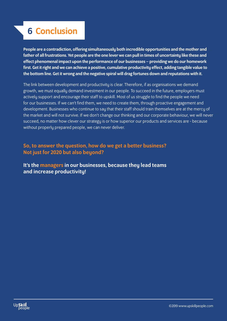# 6 Conclusion

People are a contradiction, offering simultaneously both incredible opportunities and the mother and father of all frustrations. Yet people are the one lever we can pull in times of uncertainty like these and effect phenomenal impact upon the performance of our businesses – providing we do our homework first. Get it right and we can achieve a positive, cumulative productivity effect, adding tangible value to the bottom line. Get it wrong and the negative spiral will drag fortunes down and reputations with it.

The link between development and productivity is clear. Therefore, if as organisations we demand growth, we must equally demand investment in our people. To succeed in the future, employers must actively support and encourage their staff to upskill. Most of us struggle to find the people we need for our businesses. If we can't find them, we need to create them, through proactive engagement and development. Businesses who continue to say that their staff should train themselves are at the mercy of the market and will not survive. If we don't change our thinking and our corporate behaviour, we will never succeed, no matter how clever our strategy is or how superior our products and services are - because without properly prepared people, we can never deliver.

### So, to answer the question, how do we get a better business? Not just for 2020 but also beyond?

It's the managers in our businesses, because theu lead teams and increase productivity!

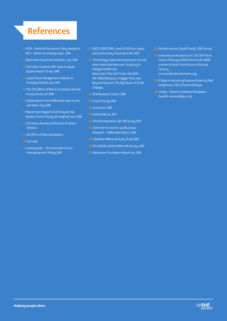# References

- 1. CEPR Centre for Economic Policy Research, WUI – World Uncertainty Index, 2016
- 2. Black Rock Investment Institute, 1 Apr 2019
- 3. Schroders Outlook 2019: Asian ex Japan Equities Report, 12 Apr 2018
- 4. Lazard Asset Management Outlook on Emerging Markets, Apr 2019
- 5. The 17th Edition of Bain & Company's Annual Luxury Study, Jan 2019
- 6. Gallup Report: How Millennials want to Live and Work, Mau 2016
- 7. Masterclass Magazine Article by Ronnie Bowker, Ernst & Young, Birmingham, Nov 2018
- 8. US Census Bureau and Bureau of Labour **Statistics**
- **9. UK Office of National Statistics**
- 10. Eurostat
- 11. Investopedia The Downside of Low Unemployment, 19 May 2019
- 12. OECD (2000-2015), Level of GDP per capita and productivity, Extracted 2 Mar 2017
- 13. 'Technology makes the human part of work more important than ever' Study by Dr Margaret Heffernan. Reported in The Irish Times, Feb 2019. Ref: Wilful Blindness, A Bigger Prize, and Beyond Measure: The Big Impact of Small Changes.
- 14. PEW Research Centre, 2016
- 15. Ernst & Young, 2018
- **16.** Accenture, 2018
- 17. United Nations, 2017
- 18. This Morning News, Apr 2017 & Aug 2018
- 19. Centre for Economics and Business Research – Millennials Report, 2018
- 20. IdeaPaint Millennial Study, 15 Jan 2019
- 21. The Deloitte Global Millennial Survey, 2019
- 22. Resolution Foundation Report Jun, 2019
- 23. Deloitte Human Capital Trends, 2019 Survey
- 24.www.theconversation.com, Oct 2017. More visions of the year 2000 from En L'An 2000, a series of cards from the turn of the last century, www.publicdomainreview.org
- 25. 5 Steps to Becoming Purpose Driven by Paul Hargreaves, CEO of Cotswold Fayre
- 26. Vitality Britain's Healthiest Workplace Awards: www.vitality.co.uk